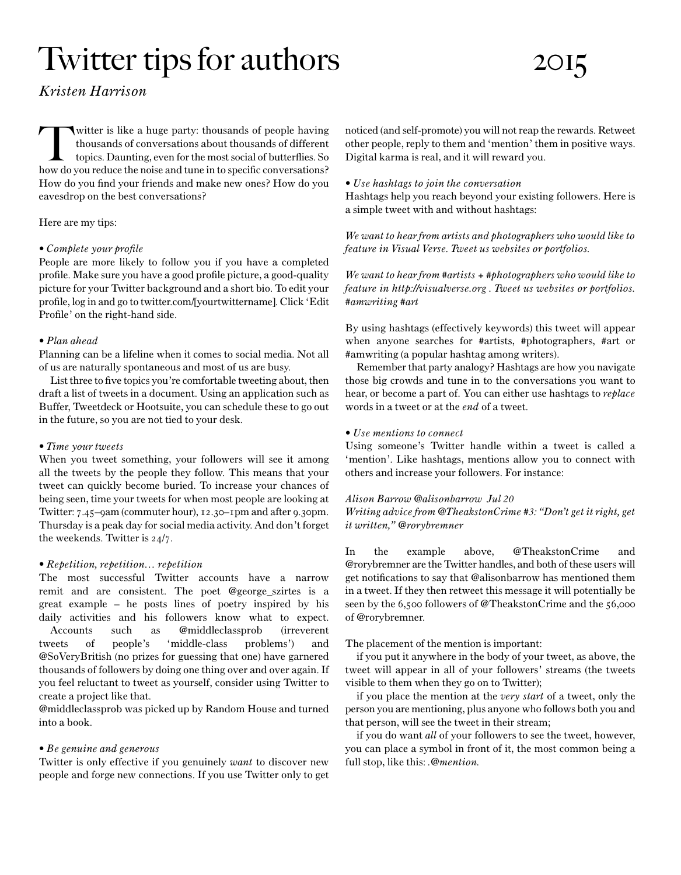# Twitter tips for authors 2015

# *KristenHarrison*

witter is like a huge party: thousands of people having<br>thousands of conversations about thousands of different<br>topics. Daunting, even for the most social of butterflies. So<br>how do you reduce the noise and tune in to speci witter is like a huge party: thousands of people having thousands of conversations about thousands of different topics. Daunting, even for the most social of butterflies. So How do you find your friends and make new ones? How do you eavesdrop on the best conversations?

# Here are my tips:

#### • Complete your profile

People are more likely to follow you if you have a completed profile. Make sure you have a good profile picture, a good-quality picture for your Twitter background and a short bio. To edit your profile, log in and go to twitter.com/[yourtwittername]. Click 'Edit Profile' on the right-hand side.

#### *•Planahead*

Planning can be a lifeline when it comes to social media. Not all of us are naturally spontaneous and most of us are busy.

List three to five topics you're comfortable tweeting about, then draft a list of tweets in a document. Using an application such as Buffer, Tweetdeck or Hootsuite, you can schedule these to go out in the future, so you are not tied to your desk.

#### • Time your tweets

When you tweet something, your followers will see it among all the tweets by the people they follow. This means that your tweet can quickly become buried. To increase your chances of being seen, time your tweets for when most people are looking at Twitter: 7.45–9am (commuter hour), 12.30–1pm and after 9.30pm. Thursday is a peak day for social media activity. And don't forget the weekends. Twitter is 24/7.

# *•Repetition,repetition…repetition*

The most successful Twitter accounts have a narrow remit and are consistent. The poet @george\_szirtes is a great example – he posts lines of poetry inspired by his daily activities and his followers know what to expect. Accounts such as @middleclassprob (irreverent tweets of people's 'middle-class problems') and @SoVeryBritish (no prizes for guessing that one) have garnered thousands of followers by doing one thing over and over again. If you feel reluctant to tweet as yourself, consider using Twitter to create a project like that.

@middleclassprob was picked up by Random House and turned into a book.

# *•Begenuineandgenerous*

Twitter is only effective if you genuinely *want* to discover new people and forge new connections. If you use Twitter only to get noticed (and self-promote) you will not reap the rewards. Retweet other people, reply to them and 'mention' them in positive ways. Digital karma is real, and it will reward you.

#### *•Usehashtagstojointheconversation*

Hashtags help you reach beyond your existing followers. Here is a simple tweet with and without hashtags:

We want to hear from artists and photographers who would like to *feature in Visual Verse. Tweet us websites or portfolios.* 

*We want to hear from #artists + #photographers who would like to feature in http://visualverse.org. Tweet us websites or portfolios. #amwriting#art*

By using hashtags (effectively keywords) this tweet will appear when anyone searches for #artists, #photographers, #art or #amwriting (a popular hashtag among writers).

Remember that party analogy? Hashtags are how you navigate those big crowds and tune in to the conversations you want to hear, or become a part of. You can either use hashtags to *replace* words in a tweet or at the *end* of a tweet.

#### *•Usementionstoconnect*

Using someone's Twitter handle within a tweet is called a 'mention'. Like hashtags, mentions allow you to connect with others and increase your followers. For instance:

# *AlisonBarrow@alisonbarrowJul20*

*Writingadvicefrom@TheakstonCrime#3:"Don'tgetitright,get itwritten,"@rorybremner*

In the example above, @TheakstonCrime and @rorybremner are the Twitter handles, and both of these users will get notifications to say that @alisonbarrow has mentioned them in a tweet. If they then retweet this message it will potentially be seen by the 6,500 followers of @TheakstonCrime and the 56,000 of @rorybremner.

# The placement of the mention is important:

if you put it anywhere in the body of your tweet, as above, the tweet will appear in all of your followers' streams (the tweets visible to them when they go on to Twitter);

if you place the mention at the *verystart* of a tweet, only the person you are mentioning, plus anyone who follows both you and that person, will see the tweet in their stream;

if you do want *all* of your followers to see the tweet, however, you can place a symbol in front of it, the most common being a full stop, like this: *.@mention.*